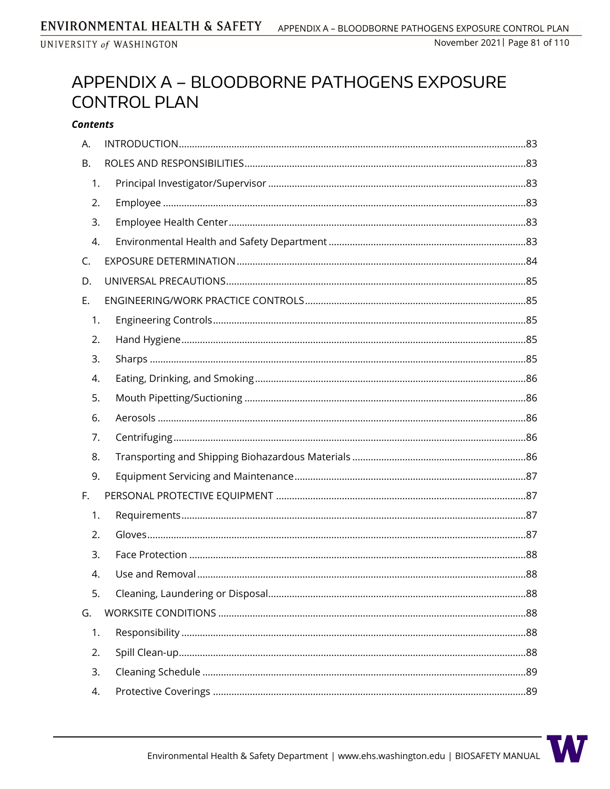# APPENDIX A - BLOODBORNE PATHOGENS EXPOSURE **CONTROL PLAN**

#### **Contents**

| А.        |  |
|-----------|--|
| <b>B.</b> |  |
| 1.        |  |
| 2.        |  |
| 3.        |  |
| 4.        |  |
| C.        |  |
| D.        |  |
| Ε.        |  |
| 1.        |  |
| 2.        |  |
| 3.        |  |
| 4.        |  |
| 5.        |  |
| 6.        |  |
| 7.        |  |
| 8.        |  |
| 9.        |  |
| F.        |  |
| 1.        |  |
| 2.        |  |
| 3.        |  |
| 4.        |  |
| 5.        |  |
| G.        |  |
| 1.        |  |
| 2.        |  |
| 3.        |  |
| 4.        |  |

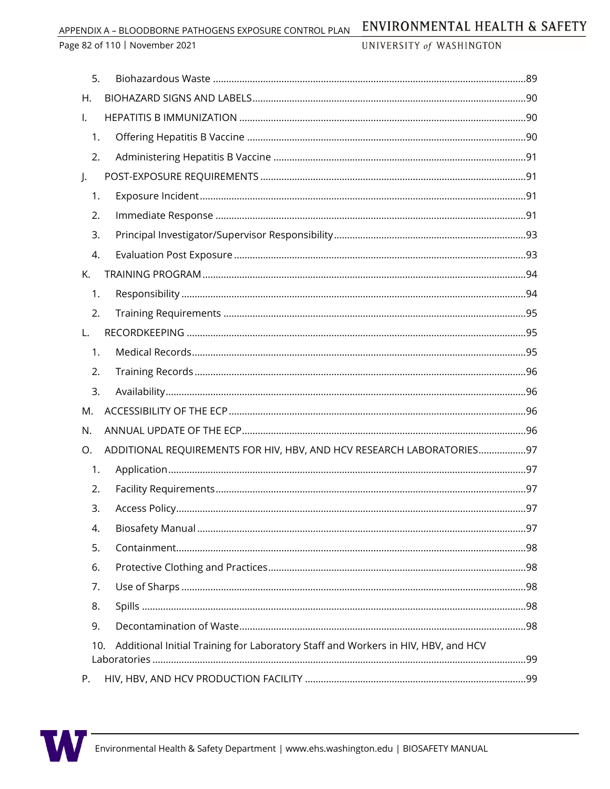APPENDIX A - BLOODBORNE PATHOGENS EXPOSURE CONTROL PLAN

Page 82 of 110 | November 2021

UNIVERSITY of WASHINGTON

| 5.  |                                                                                   |  |
|-----|-----------------------------------------------------------------------------------|--|
| Η.  |                                                                                   |  |
| Ι.  |                                                                                   |  |
| 1.  |                                                                                   |  |
| 2.  |                                                                                   |  |
| J.  |                                                                                   |  |
| 1.  |                                                                                   |  |
| 2.  |                                                                                   |  |
| 3.  |                                                                                   |  |
| 4.  |                                                                                   |  |
| Κ.  |                                                                                   |  |
| 1.  |                                                                                   |  |
| 2.  |                                                                                   |  |
| L.  |                                                                                   |  |
| 1.  |                                                                                   |  |
| 2.  |                                                                                   |  |
| 3.  |                                                                                   |  |
| M.  |                                                                                   |  |
| N.  |                                                                                   |  |
| Ο.  | ADDITIONAL REQUIREMENTS FOR HIV, HBV, AND HCV RESEARCH LABORATORIES97             |  |
| 1.  |                                                                                   |  |
| 2.  |                                                                                   |  |
| 3.  |                                                                                   |  |
| 4.  |                                                                                   |  |
| 5.  |                                                                                   |  |
| 6.  |                                                                                   |  |
| 7.  |                                                                                   |  |
| 8.  |                                                                                   |  |
| 9.  |                                                                                   |  |
| 10. | Additional Initial Training for Laboratory Staff and Workers in HIV, HBV, and HCV |  |
|     |                                                                                   |  |
| Р.  |                                                                                   |  |

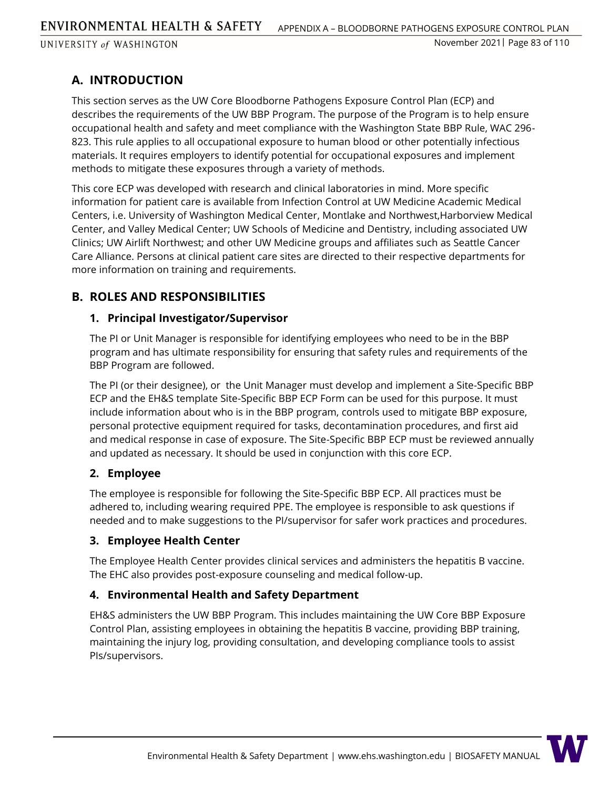# **A. INTRODUCTION**

This section serves as the UW Core Bloodborne Pathogens Exposure Control Plan (ECP) and describes the requirements of the UW BBP Program. The purpose of the Program is to help ensure occupational health and safety and meet compliance with the Washington State BBP Rule, WAC 296- 823. This rule applies to all occupational exposure to human blood or other potentially infectious materials. It requires employers to identify potential for occupational exposures and implement methods to mitigate these exposures through a variety of methods.

This core ECP was developed with research and clinical laboratories in mind. More specific information for patient care is available from Infection Control at UW Medicine Academic Medical Centers, i.e. University of Washington Medical Center, Montlake and Northwest,Harborview Medical Center, and Valley Medical Center; UW Schools of Medicine and Dentistry, including associated UW Clinics; UW Airlift Northwest; and other UW Medicine groups and affiliates such as Seattle Cancer Care Alliance. Persons at clinical patient care sites are directed to their respective departments for more information on training and requirements.

# **B. ROLES AND RESPONSIBILITIES**

### **1. Principal Investigator/Supervisor**

The PI or Unit Manager is responsible for identifying employees who need to be in the BBP program and has ultimate responsibility for ensuring that safety rules and requirements of the BBP Program are followed.

The PI (or their designee), or the Unit Manager must develop and implement a Site-Specific BBP ECP and the EH&S template Site-Specific BBP ECP Form can be used for this purpose. It must include information about who is in the BBP program, controls used to mitigate BBP exposure, personal protective equipment required for tasks, decontamination procedures, and first aid and medical response in case of exposure. The Site-Specific BBP ECP must be reviewed annually and updated as necessary. It should be used in conjunction with this core ECP.

### **2. Employee**

The employee is responsible for following the Site-Specific BBP ECP. All practices must be adhered to, including wearing required PPE. The employee is responsible to ask questions if needed and to make suggestions to the PI/supervisor for safer work practices and procedures.

### **3. Employee Health Center**

The Employee Health Center provides clinical services and administers the hepatitis B vaccine. The EHC also provides post-exposure counseling and medical follow-up.

### **4. Environmental Health and Safety Department**

EH&S administers the UW BBP Program. This includes maintaining the UW Core BBP Exposure Control Plan, assisting employees in obtaining the hepatitis B vaccine, providing BBP training, maintaining the injury log, providing consultation, and developing compliance tools to assist PIs/supervisors.

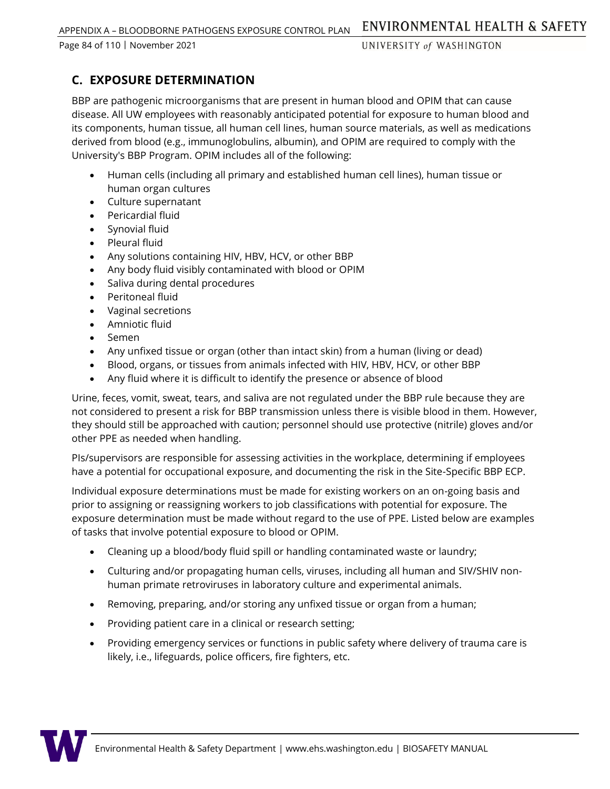Page 84 of 110 ᅵ November 2021

UNIVERSITY of WASHINGTON

# **C. EXPOSURE DETERMINATION**

BBP are pathogenic microorganisms that are present in human blood and OPIM that can cause disease. All UW employees with reasonably anticipated potential for exposure to human blood and its components, human tissue, all human cell lines, human source materials, as well as medications derived from blood (e.g., immunoglobulins, albumin), and OPIM are required to comply with the University's BBP Program. OPIM includes all of the following:

- Human cells (including all primary and established human cell lines), human tissue or human organ cultures
- Culture supernatant
- Pericardial fluid
- Synovial fluid
- Pleural fluid
- Any solutions containing HIV, HBV, HCV, or other BBP
- Any body fluid visibly contaminated with blood or OPIM
- Saliva during dental procedures
- Peritoneal fluid
- Vaginal secretions
- Amniotic fluid
- Semen
- Any unfixed tissue or organ (other than intact skin) from a human (living or dead)
- Blood, organs, or tissues from animals infected with HIV, HBV, HCV, or other BBP
- Any fluid where it is difficult to identify the presence or absence of blood

Urine, feces, vomit, sweat, tears, and saliva are not regulated under the BBP rule because they are not considered to present a risk for BBP transmission unless there is visible blood in them. However, they should still be approached with caution; personnel should use protective (nitrile) gloves and/or other PPE as needed when handling.

PIs/supervisors are responsible for assessing activities in the workplace, determining if employees have a potential for occupational exposure, and documenting the risk in the Site-Specific BBP ECP.

Individual exposure determinations must be made for existing workers on an on-going basis and prior to assigning or reassigning workers to job classifications with potential for exposure. The exposure determination must be made without regard to the use of PPE. Listed below are examples of tasks that involve potential exposure to blood or OPIM.

- Cleaning up a blood/body fluid spill or handling contaminated waste or laundry;
- Culturing and/or propagating human cells, viruses, including all human and SIV/SHIV nonhuman primate retroviruses in laboratory culture and experimental animals.
- Removing, preparing, and/or storing any unfixed tissue or organ from a human;
- Providing patient care in a clinical or research setting;
- Providing emergency services or functions in public safety where delivery of trauma care is likely, i.e., lifeguards, police officers, fire fighters, etc.

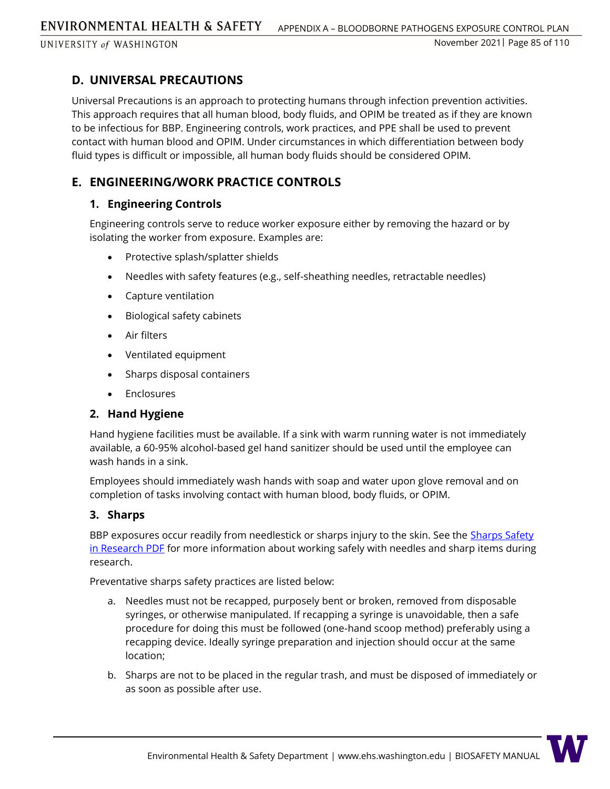## **D. UNIVERSAL PRECAUTIONS**

Universal Precautions is an approach to protecting humans through infection prevention activities. This approach requires that all human blood, body fluids, and OPIM be treated as if they are known to be infectious for BBP. Engineering controls, work practices, and PPE shall be used to prevent contact with human blood and OPIM. Under circumstances in which differentiation between body fluid types is difficult or impossible, all human body fluids should be considered OPIM.

# **E. ENGINEERING/WORK PRACTICE CONTROLS**

### **1. Engineering Controls**

Engineering controls serve to reduce worker exposure either by removing the hazard or by isolating the worker from exposure. Examples are:

- Protective splash/splatter shields
- Needles with safety features (e.g., self-sheathing needles, retractable needles)
- Capture ventilation
- Biological safety cabinets
- Air filters
- Ventilated equipment
- Sharps disposal containers
- Enclosures

### **2. Hand Hygiene**

Hand hygiene facilities must be available. If a sink with warm running water is not immediately available, a 60-95% alcohol-based gel hand sanitizer should be used until the employee can wash hands in a sink.

Employees should immediately wash hands with soap and water upon glove removal and on completion of tasks involving contact with human blood, body fluids, or OPIM.

### **3. Sharps**

BBP exposures occur readily from needlestick or sharps injury to the skin. See the Sharps Safety [in Research PDF](https://www.ehs.washington.edu/resource/sharps-safety-research-578) for more information about working safely with needles and sharp items during research.

Preventative sharps safety practices are listed below:

- a. Needles must not be recapped, purposely bent or broken, removed from disposable syringes, or otherwise manipulated. If recapping a syringe is unavoidable, then a safe procedure for doing this must be followed (one-hand scoop method) preferably using a recapping device. Ideally syringe preparation and injection should occur at the same location;
- b. Sharps are not to be placed in the regular trash, and must be disposed of immediately or as soon as possible after use.

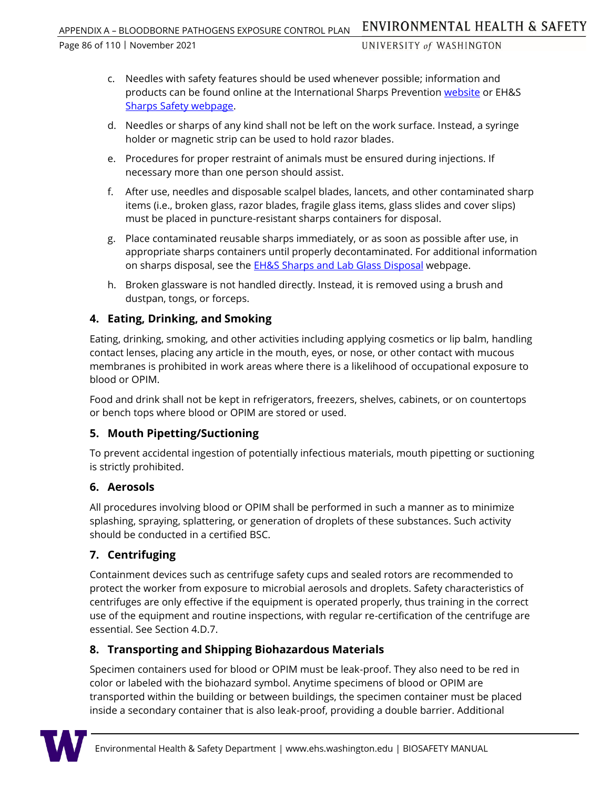Page 86 of 110 ᅵ November 2021

UNIVERSITY of WASHINGTON

- c. Needles with safety features should be used whenever possible; information and products can be found online at the International Sharps Prevention [website](http://www.isips.org/) or EH&S [Sharps Safety webpage.](https://www.ehs.washington.edu/research-lab/sharps-safety)
- d. Needles or sharps of any kind shall not be left on the work surface. Instead, a syringe holder or magnetic strip can be used to hold razor blades.
- e. Procedures for proper restraint of animals must be ensured during injections. If necessary more than one person should assist.
- f. After use, needles and disposable scalpel blades, lancets, and other contaminated sharp items (i.e., broken glass, razor blades, fragile glass items, glass slides and cover slips) must be placed in puncture-resistant sharps containers for disposal.
- g. Place contaminated reusable sharps immediately, or as soon as possible after use, in appropriate sharps containers until properly decontaminated. For additional information on sharps disposal, see the **EH&S Sharps and Lab Glass Disposal** webpage.
- h. Broken glassware is not handled directly. Instead, it is removed using a brush and dustpan, tongs, or forceps.

# **4. Eating, Drinking, and Smoking**

Eating, drinking, smoking, and other activities including applying cosmetics or lip balm, handling contact lenses, placing any article in the mouth, eyes, or nose, or other contact with mucous membranes is prohibited in work areas where there is a likelihood of occupational exposure to blood or OPIM.

Food and drink shall not be kept in refrigerators, freezers, shelves, cabinets, or on countertops or bench tops where blood or OPIM are stored or used.

### **5. Mouth Pipetting/Suctioning**

To prevent accidental ingestion of potentially infectious materials, mouth pipetting or suctioning is strictly prohibited.

### **6. Aerosols**

All procedures involving blood or OPIM shall be performed in such a manner as to minimize splashing, spraying, splattering, or generation of droplets of these substances. Such activity should be conducted in a certified BSC.

# **7. Centrifuging**

Containment devices such as centrifuge safety cups and sealed rotors are recommended to protect the worker from exposure to microbial aerosols and droplets. Safety characteristics of centrifuges are only effective if the equipment is operated properly, thus training in the correct use of the equipment and routine inspections, with regular re-certification of the centrifuge are essential. See Section 4.D.7.

# **8. Transporting and Shipping Biohazardous Materials**

Specimen containers used for blood or OPIM must be leak-proof. They also need to be red in color or labeled with the biohazard symbol. Anytime specimens of blood or OPIM are transported within the building or between buildings, the specimen container must be placed inside a secondary container that is also leak-proof, providing a double barrier. Additional

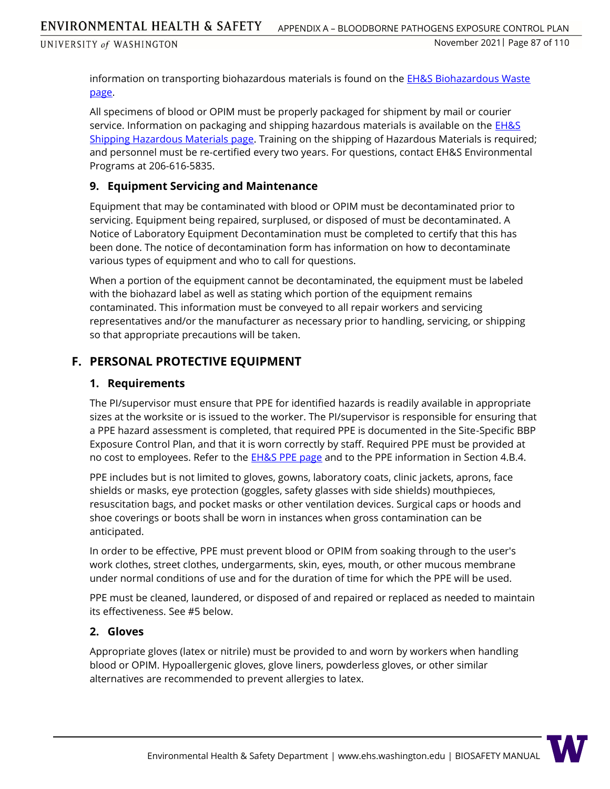information on transporting biohazardous materials is found on the [EH&S Biohazardous Waste](https://www.ehs.washington.edu/biological/biohazardous-waste)  [page.](https://www.ehs.washington.edu/biological/biohazardous-waste)

All specimens of blood or OPIM must be properly packaged for shipment by mail or courier service. Information on packaging and shipping hazardous materials is available on the **EH&S** [Shipping Hazardous Materials](https://www.ehs.washington.edu/chemical/shipping-hazardous-materials) page. Training on the shipping of Hazardous Materials is required; and personnel must be re-certified every two years. For questions, contact EH&S Environmental Programs at 206-616-5835.

### **9. Equipment Servicing and Maintenance**

Equipment that may be contaminated with blood or OPIM must be decontaminated prior to servicing. Equipment being repaired, surplused, or disposed of must be decontaminated. A Notice of Laboratory Equipment Decontamination must be completed to certify that this has been done. The notice of decontamination form has information on how to decontaminate various types of equipment and who to call for questions.

When a portion of the equipment cannot be decontaminated, the equipment must be labeled with the biohazard label as well as stating which portion of the equipment remains contaminated. This information must be conveyed to all repair workers and servicing representatives and/or the manufacturer as necessary prior to handling, servicing, or shipping so that appropriate precautions will be taken.

### **F. PERSONAL PROTECTIVE EQUIPMENT**

### **1. Requirements**

The PI/supervisor must ensure that PPE for identified hazards is readily available in appropriate sizes at the worksite or is issued to the worker. The PI/supervisor is responsible for ensuring that a PPE hazard assessment is completed, that required PPE is documented in the Site-Specific BBP Exposure Control Plan, and that it is worn correctly by staff. Required PPE must be provided at no cost to employees. Refer to the **EH&S PPE page and to the PPE information in Section 4.B.4.** 

PPE includes but is not limited to gloves, gowns, laboratory coats, clinic jackets, aprons, face shields or masks, eye protection (goggles, safety glasses with side shields) mouthpieces, resuscitation bags, and pocket masks or other ventilation devices. Surgical caps or hoods and shoe coverings or boots shall be worn in instances when gross contamination can be anticipated.

In order to be effective, PPE must prevent blood or OPIM from soaking through to the user's work clothes, street clothes, undergarments, skin, eyes, mouth, or other mucous membrane under normal conditions of use and for the duration of time for which the PPE will be used.

PPE must be cleaned, laundered, or disposed of and repaired or replaced as needed to maintain its effectiveness. See #5 below.

### **2. Gloves**

Appropriate gloves (latex or nitrile) must be provided to and worn by workers when handling blood or OPIM. Hypoallergenic gloves, glove liners, powderless gloves, or other similar alternatives are recommended to prevent allergies to latex.

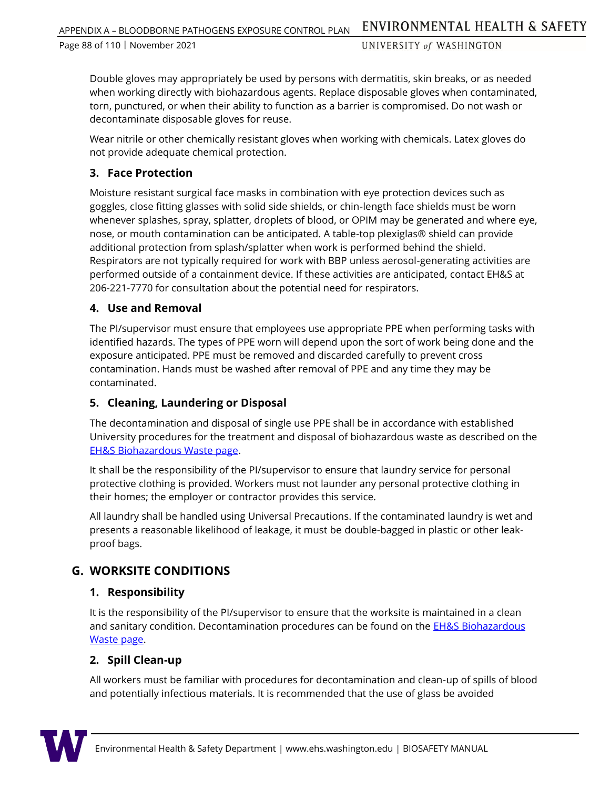Page 88 of 110 ᅵ November 2021

UNIVERSITY of WASHINGTON

Double gloves may appropriately be used by persons with dermatitis, skin breaks, or as needed when working directly with biohazardous agents. Replace disposable gloves when contaminated, torn, punctured, or when their ability to function as a barrier is compromised. Do not wash or decontaminate disposable gloves for reuse.

Wear nitrile or other chemically resistant gloves when working with chemicals. Latex gloves do not provide adequate chemical protection.

### **3. Face Protection**

Moisture resistant surgical face masks in combination with eye protection devices such as goggles, close fitting glasses with solid side shields, or chin-length face shields must be worn whenever splashes, spray, splatter, droplets of blood, or OPIM may be generated and where eye, nose, or mouth contamination can be anticipated. A table-top plexiglas® shield can provide additional protection from splash/splatter when work is performed behind the shield. Respirators are not typically required for work with BBP unless aerosol-generating activities are performed outside of a containment device. If these activities are anticipated, contact EH&S at 206-221-7770 for consultation about the potential need for respirators.

### **4. Use and Removal**

The PI/supervisor must ensure that employees use appropriate PPE when performing tasks with identified hazards. The types of PPE worn will depend upon the sort of work being done and the exposure anticipated. PPE must be removed and discarded carefully to prevent cross contamination. Hands must be washed after removal of PPE and any time they may be contaminated.

### **5. Cleaning, Laundering or Disposal**

The decontamination and disposal of single use PPE shall be in accordance with established University procedures for the treatment and disposal of biohazardous waste as described on the [EH&S Biohazardous Waste page.](https://www.ehs.washington.edu/biological/biohazardous-waste)

It shall be the responsibility of the PI/supervisor to ensure that laundry service for personal protective clothing is provided. Workers must not launder any personal protective clothing in their homes; the employer or contractor provides this service.

All laundry shall be handled using Universal Precautions. If the contaminated laundry is wet and presents a reasonable likelihood of leakage, it must be double-bagged in plastic or other leakproof bags.

### **G. WORKSITE CONDITIONS**

### **1. Responsibility**

It is the responsibility of the PI/supervisor to ensure that the worksite is maintained in a clean and sanitary condition. Decontamination procedures can be found on the **EH&S Biohazardous** [Waste page.](https://www.ehs.washington.edu/biological/biohazardous-waste)

### **2. Spill Clean-up**

All workers must be familiar with procedures for decontamination and clean-up of spills of blood and potentially infectious materials. It is recommended that the use of glass be avoided

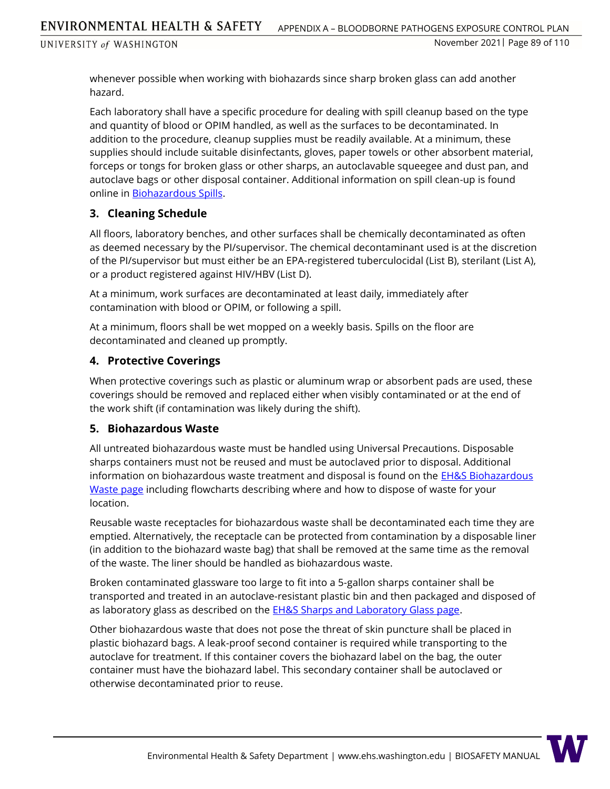whenever possible when working with biohazards since sharp broken glass can add another hazard.

Each laboratory shall have a specific procedure for dealing with spill cleanup based on the type and quantity of blood or OPIM handled, as well as the surfaces to be decontaminated. In addition to the procedure, cleanup supplies must be readily available. At a minimum, these supplies should include suitable disinfectants, gloves, paper towels or other absorbent material, forceps or tongs for broken glass or other sharps, an autoclavable squeegee and dust pan, and autoclave bags or other disposal container. Additional information on spill clean-up is found online in [Biohazardous Spills.](https://www.ehs.washington.edu/system/files/resources/biohazardous-spills.pdf)

### **3. Cleaning Schedule**

All floors, laboratory benches, and other surfaces shall be chemically decontaminated as often as deemed necessary by the PI/supervisor. The chemical decontaminant used is at the discretion of the PI/supervisor but must either be an EPA-registered tuberculocidal (List B), sterilant (List A), or a product registered against HIV/HBV (List D).

At a minimum, work surfaces are decontaminated at least daily, immediately after contamination with blood or OPIM, or following a spill.

At a minimum, floors shall be wet mopped on a weekly basis. Spills on the floor are decontaminated and cleaned up promptly.

### **4. Protective Coverings**

When protective coverings such as plastic or aluminum wrap or absorbent pads are used, these coverings should be removed and replaced either when visibly contaminated or at the end of the work shift (if contamination was likely during the shift).

#### **5. Biohazardous Waste**

All untreated biohazardous waste must be handled using Universal Precautions. Disposable sharps containers must not be reused and must be autoclaved prior to disposal. Additional information on biohazardous waste treatment and disposal is found on the **EH&S Biohazardous** [Waste page](https://www.ehs.washington.edu/biological/biohazardous-waste) including flowcharts describing where and how to dispose of waste for your location.

Reusable waste receptacles for biohazardous waste shall be decontaminated each time they are emptied. Alternatively, the receptacle can be protected from contamination by a disposable liner (in addition to the biohazard waste bag) that shall be removed at the same time as the removal of the waste. The liner should be handled as biohazardous waste.

Broken contaminated glassware too large to fit into a 5-gallon sharps container shall be transported and treated in an autoclave-resistant plastic bin and then packaged and disposed of as laboratory glass as described on the **EH&S Sharps and Laboratory Glass page**.

Other biohazardous waste that does not pose the threat of skin puncture shall be placed in plastic biohazard bags. A leak-proof second container is required while transporting to the autoclave for treatment. If this container covers the biohazard label on the bag, the outer container must have the biohazard label. This secondary container shall be autoclaved or otherwise decontaminated prior to reuse.

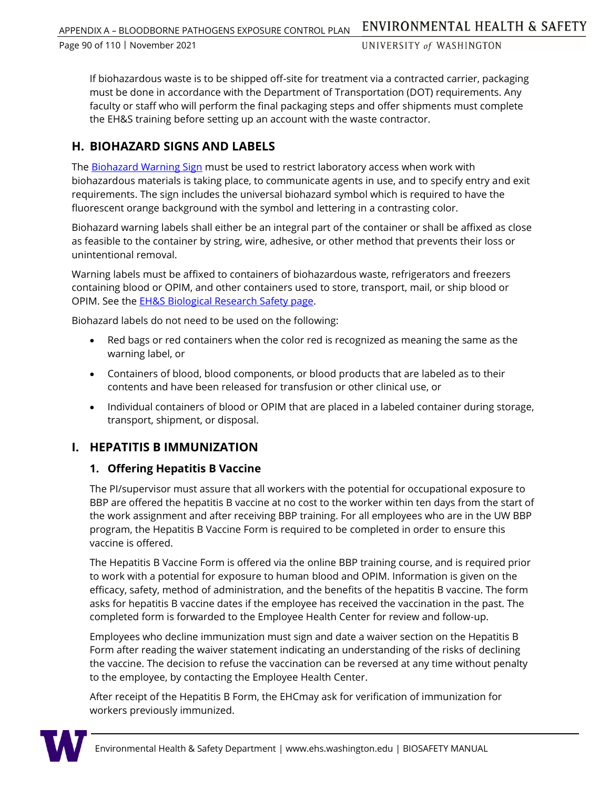Page 90 of 110 ᅵ November 2021

UNIVERSITY of WASHINGTON

If biohazardous waste is to be shipped off-site for treatment via a contracted carrier, packaging must be done in accordance with the Department of Transportation (DOT) requirements. Any faculty or staff who will perform the final packaging steps and offer shipments must complete the EH&S training before setting up an account with the waste contractor.

# **H. BIOHAZARD SIGNS AND LABELS**

The [Biohazard Warning Sign](https://www.ehs.washington.edu/resource/biohazard-warning-sign-476) must be used to restrict laboratory access when work with biohazardous materials is taking place, to communicate agents in use, and to specify entry and exit requirements. The sign includes the universal biohazard symbol which is required to have the fluorescent orange background with the symbol and lettering in a contrasting color.

Biohazard warning labels shall either be an integral part of the container or shall be affixed as close as feasible to the container by string, wire, adhesive, or other method that prevents their loss or unintentional removal.

Warning labels must be affixed to containers of biohazardous waste, refrigerators and freezers containing blood or OPIM, and other containers used to store, transport, mail, or ship blood or OPIM. See the [EH&S Biological Research Safety page.](https://www.ehs.washington.edu/biological/biological-research-safety)

Biohazard labels do not need to be used on the following:

- Red bags or red containers when the color red is recognized as meaning the same as the warning label, or
- Containers of blood, blood components, or blood products that are labeled as to their contents and have been released for transfusion or other clinical use, or
- Individual containers of blood or OPIM that are placed in a labeled container during storage, transport, shipment, or disposal.

### **I. HEPATITIS B IMMUNIZATION**

### **1. Offering Hepatitis B Vaccine**

The PI/supervisor must assure that all workers with the potential for occupational exposure to BBP are offered the hepatitis B vaccine at no cost to the worker within ten days from the start of the work assignment and after receiving BBP training. For all employees who are in the UW BBP program, the Hepatitis B Vaccine Form is required to be completed in order to ensure this vaccine is offered.

The Hepatitis B Vaccine Form is offered via the online BBP training course, and is required prior to work with a potential for exposure to human blood and OPIM. Information is given on the efficacy, safety, method of administration, and the benefits of the hepatitis B vaccine. The form asks for hepatitis B vaccine dates if the employee has received the vaccination in the past. The completed form is forwarded to the Employee Health Center for review and follow-up.

Employees who decline immunization must sign and date a waiver section on the Hepatitis B Form after reading the waiver statement indicating an understanding of the risks of declining the vaccine. The decision to refuse the vaccination can be reversed at any time without penalty to the employee, by contacting the Employee Health Center.

After receipt of the Hepatitis B Form, the EHCmay ask for verification of immunization for workers previously immunized.

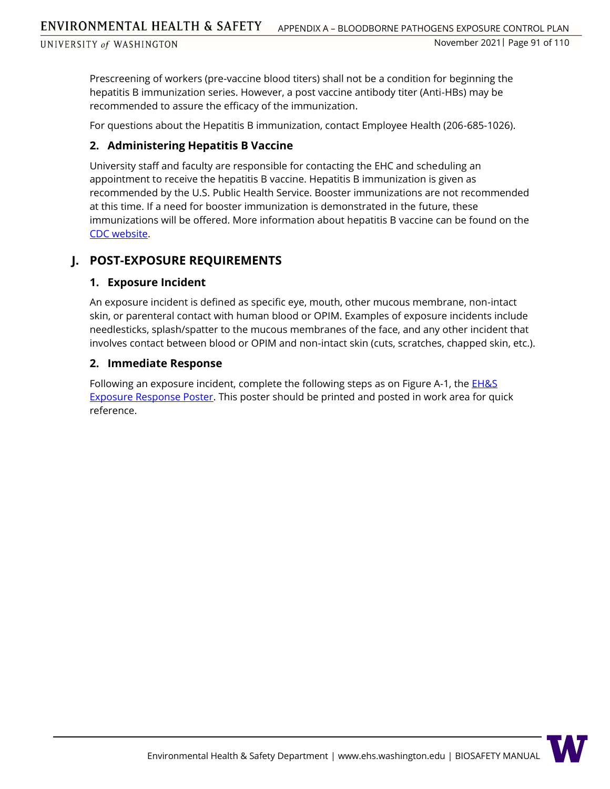Prescreening of workers (pre-vaccine blood titers) shall not be a condition for beginning the hepatitis B immunization series. However, a post vaccine antibody titer (Anti-HBs) may be recommended to assure the efficacy of the immunization.

For questions about the Hepatitis B immunization, contact Employee Health (206-685-1026).

### **2. Administering Hepatitis B Vaccine**

University staff and faculty are responsible for contacting the EHC and scheduling an appointment to receive the hepatitis B vaccine. Hepatitis B immunization is given as recommended by the U.S. Public Health Service. Booster immunizations are not recommended at this time. If a need for booster immunization is demonstrated in the future, these immunizations will be offered. More information about hepatitis B vaccine can be found on the [CDC website.](https://www.cdc.gov/hepatitis/hbv/index.htm)

### **J. POST-EXPOSURE REQUIREMENTS**

### **1. Exposure Incident**

An exposure incident is defined as specific eye, mouth, other mucous membrane, non-intact skin, or parenteral contact with human blood or OPIM. Examples of exposure incidents include needlesticks, splash/spatter to the mucous membranes of the face, and any other incident that involves contact between blood or OPIM and non-intact skin (cuts, scratches, chapped skin, etc.).

### **2. Immediate Response**

Following an exposure incident, complete the following steps as on Figure A-1, the  $EH\&S$ [Exposure Response Poster.](https://www.ehs.washington.edu/resource/exposure-response-poster-94) This poster should be printed and posted in work area for quick reference.

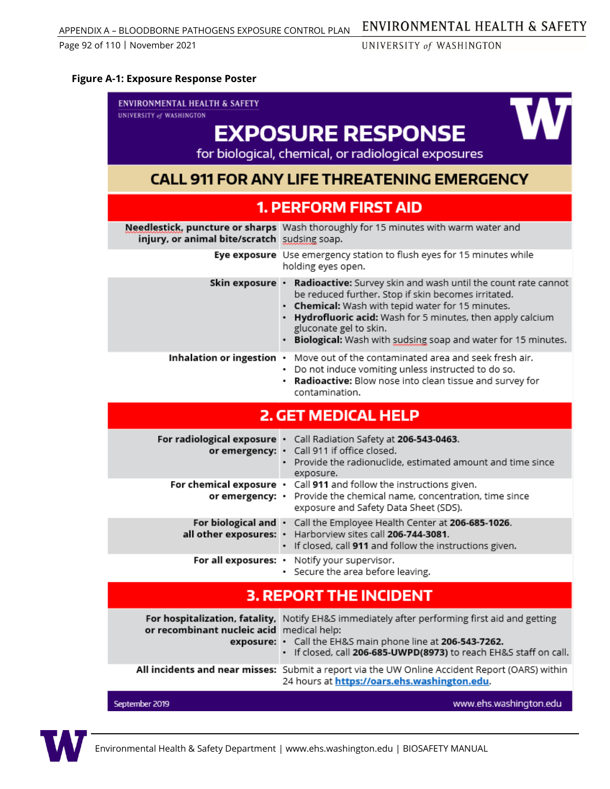# ENVIRONMENTAL HEALTH & SAFETY

UNIVERSITY of WASHINGTON

#### **Figure A-1: Exposure Response Poster**

| <b>ENVIRONMENTAL HEALTH &amp; SAFETY</b>     |                                                                                                                                                                                                                                                                                                                                    |  |  |  |  |
|----------------------------------------------|------------------------------------------------------------------------------------------------------------------------------------------------------------------------------------------------------------------------------------------------------------------------------------------------------------------------------------|--|--|--|--|
| UNIVERSITY of WASHINGTON                     |                                                                                                                                                                                                                                                                                                                                    |  |  |  |  |
| <b>EXPOSURE RESPONSE</b>                     |                                                                                                                                                                                                                                                                                                                                    |  |  |  |  |
|                                              | for biological, chemical, or radiological exposures                                                                                                                                                                                                                                                                                |  |  |  |  |
|                                              | <b>CALL 911 FOR ANY LIFE THREATENING EMERGENCY</b>                                                                                                                                                                                                                                                                                 |  |  |  |  |
|                                              | <b>1. PERFORM FIRST AID</b>                                                                                                                                                                                                                                                                                                        |  |  |  |  |
| injury, or animal bite/scratch sudsing soap. | Needlestick, puncture or sharps Wash thoroughly for 15 minutes with warm water and                                                                                                                                                                                                                                                 |  |  |  |  |
|                                              | Eye exposure Use emergency station to flush eyes for 15 minutes while<br>holding eyes open.                                                                                                                                                                                                                                        |  |  |  |  |
| Skin exposure •                              | Radioactive: Survey skin and wash until the count rate cannot<br>be reduced further. Stop if skin becomes irritated.<br>• Chemical: Wash with tepid water for 15 minutes.<br>Hydrofluoric acid: Wash for 5 minutes, then apply calcium<br>gluconate gel to skin.<br>• Biological: Wash with sudsing soap and water for 15 minutes. |  |  |  |  |
| Inhalation or ingestion $\cdot$              | Move out of the contaminated area and seek fresh air.<br>• Do not induce vomiting unless instructed to do so.<br>. Radioactive: Blow nose into clean tissue and survey for<br>contamination.                                                                                                                                       |  |  |  |  |
|                                              | <b>2. GET MEDICAL HELP</b>                                                                                                                                                                                                                                                                                                         |  |  |  |  |
|                                              | For radiological exposure . Call Radiation Safety at 206-543-0463.<br>or emergency: · Call 911 if office closed.<br>• Provide the radionuclide, estimated amount and time since<br>exposure.                                                                                                                                       |  |  |  |  |
| or emergency: •                              | For chemical exposure $\cdot$ Call 911 and follow the instructions given.<br>Provide the chemical name, concentration, time since<br>exposure and Safety Data Sheet (SDS).                                                                                                                                                         |  |  |  |  |
|                                              | For biological and • Call the Employee Health Center at 206-685-1026.<br>all other exposures: · Harborview sites call 206-744-3081.<br>· If closed, call 911 and follow the instructions given.                                                                                                                                    |  |  |  |  |
| For all exposures: •                         | Notify your supervisor.<br>· Secure the area before leaving.                                                                                                                                                                                                                                                                       |  |  |  |  |
|                                              | <b>3. REPORT THE INCIDENT</b>                                                                                                                                                                                                                                                                                                      |  |  |  |  |
|                                              |                                                                                                                                                                                                                                                                                                                                    |  |  |  |  |
| or recombinant nucleic acid medical help:    | For hospitalization, fatality, Notify EH&S immediately after performing first aid and getting<br>exposure: • Call the EH&S main phone line at 206-543-7262.<br>· If closed, call 206-685-UWPD(8973) to reach EH&S staff on call.                                                                                                   |  |  |  |  |
|                                              | All incidents and near misses: Submit a report via the UW Online Accident Report (OARS) within<br>24 hours at https://oars.ehs.washington.edu.                                                                                                                                                                                     |  |  |  |  |

September 2019

www.ehs.washington.edu

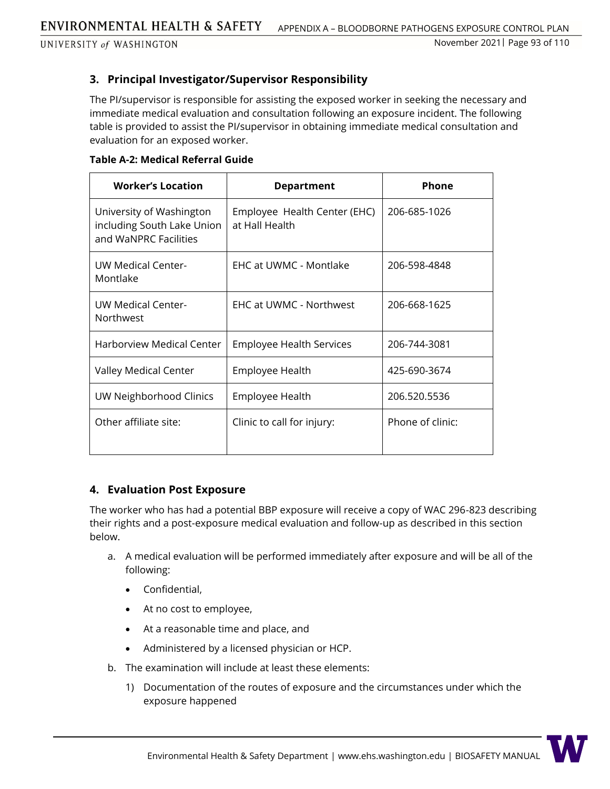### **3. Principal Investigator/Supervisor Responsibility**

The PI/supervisor is responsible for assisting the exposed worker in seeking the necessary and immediate medical evaluation and consultation following an exposure incident. The following table is provided to assist the PI/supervisor in obtaining immediate medical consultation and evaluation for an exposed worker.

| <b>Table A-2: Medical Referral Guide</b> |  |  |  |
|------------------------------------------|--|--|--|
|------------------------------------------|--|--|--|

| <b>Worker's Location</b>                                                        | <b>Department</b>                              | <b>Phone</b>     |
|---------------------------------------------------------------------------------|------------------------------------------------|------------------|
| University of Washington<br>including South Lake Union<br>and WaNPRC Facilities | Employee Health Center (EHC)<br>at Hall Health | 206-685-1026     |
| <b>UW Medical Center-</b><br>Montlake                                           | EHC at UWMC - Montlake                         | 206-598-4848     |
| <b>UW Medical Center-</b><br>Northwest                                          | EHC at UWMC - Northwest                        | 206-668-1625     |
| Harborview Medical Center                                                       | <b>Employee Health Services</b>                | 206-744-3081     |
| Valley Medical Center                                                           | Employee Health                                | 425-690-3674     |
| UW Neighborhood Clinics                                                         | Employee Health                                | 206.520.5536     |
| Other affiliate site:                                                           | Clinic to call for injury:                     | Phone of clinic: |

#### **4. Evaluation Post Exposure**

The worker who has had a potential BBP exposure will receive a copy of WAC 296-823 describing their rights and a post-exposure medical evaluation and follow-up as described in this section below.

- a. A medical evaluation will be performed immediately after exposure and will be all of the following:
	- Confidential,
	- At no cost to employee,
	- At a reasonable time and place, and
	- Administered by a licensed physician or HCP.
- b. The examination will include at least these elements:
	- 1) Documentation of the routes of exposure and the circumstances under which the exposure happened

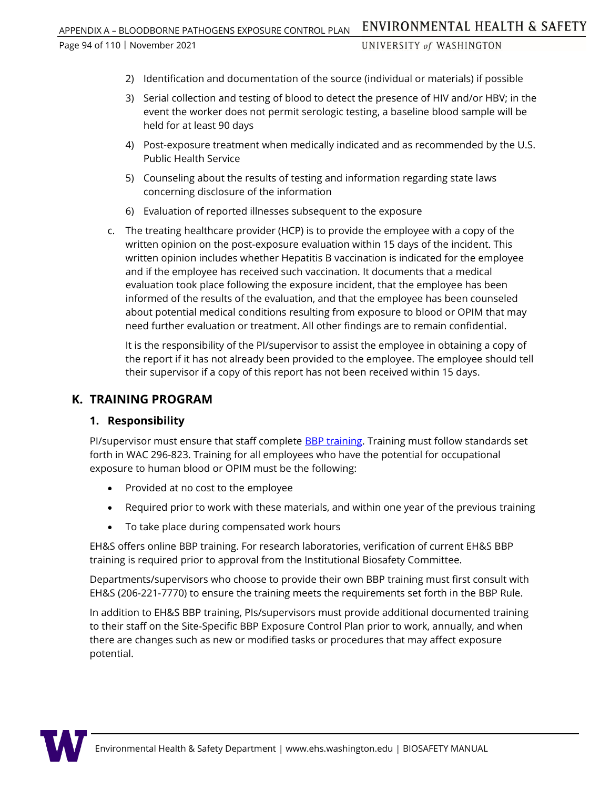- UNIVERSITY of WASHINGTON
- 2) Identification and documentation of the source (individual or materials) if possible
- 3) Serial collection and testing of blood to detect the presence of HIV and/or HBV; in the event the worker does not permit serologic testing, a baseline blood sample will be held for at least 90 days
- 4) Post-exposure treatment when medically indicated and as recommended by the U.S. Public Health Service
- 5) Counseling about the results of testing and information regarding state laws concerning disclosure of the information
- 6) Evaluation of reported illnesses subsequent to the exposure
- c. The treating healthcare provider (HCP) is to provide the employee with a copy of the written opinion on the post-exposure evaluation within 15 days of the incident. This written opinion includes whether Hepatitis B vaccination is indicated for the employee and if the employee has received such vaccination. It documents that a medical evaluation took place following the exposure incident, that the employee has been informed of the results of the evaluation, and that the employee has been counseled about potential medical conditions resulting from exposure to blood or OPIM that may need further evaluation or treatment. All other findings are to remain confidential.

It is the responsibility of the PI/supervisor to assist the employee in obtaining a copy of the report if it has not already been provided to the employee. The employee should tell their supervisor if a copy of this report has not been received within 15 days.

## **K. TRAINING PROGRAM**

### **1. Responsibility**

PI/supervisor must ensure that staff complete [BBP training.](http://www.ehs.washington.edu/training/bloodborne-pathogens-researchers-online) Training must follow standards set forth in WAC 296-823. Training for all employees who have the potential for occupational exposure to human blood or OPIM must be the following:

- Provided at no cost to the employee
- Required prior to work with these materials, and within one year of the previous training
- To take place during compensated work hours

EH&S offers online BBP training. For research laboratories, verification of current EH&S BBP training is required prior to approval from the Institutional Biosafety Committee.

Departments/supervisors who choose to provide their own BBP training must first consult with EH&S (206-221-7770) to ensure the training meets the requirements set forth in the BBP Rule.

In addition to EH&S BBP training, PIs/supervisors must provide additional documented training to their staff on the Site-Specific BBP Exposure Control Plan prior to work, annually, and when there are changes such as new or modified tasks or procedures that may affect exposure potential.

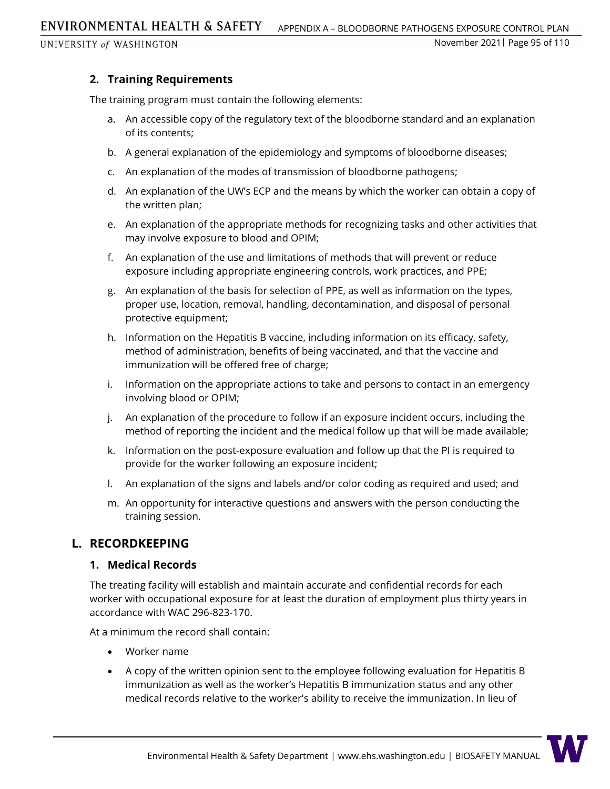ENVIRONMENTAL HEALTH & SAFETY APPENDIX A – BLOODBORNE PATHOGENS EXPOSURE CONTROL PLAN

# **2. Training Requirements**

The training program must contain the following elements:

- a. An accessible copy of the regulatory text of the bloodborne standard and an explanation of its contents;
- b. A general explanation of the epidemiology and symptoms of bloodborne diseases;
- c. An explanation of the modes of transmission of bloodborne pathogens;
- d. An explanation of the UW's ECP and the means by which the worker can obtain a copy of the written plan;
- e. An explanation of the appropriate methods for recognizing tasks and other activities that may involve exposure to blood and OPIM;
- f. An explanation of the use and limitations of methods that will prevent or reduce exposure including appropriate engineering controls, work practices, and PPE;
- g. An explanation of the basis for selection of PPE, as well as information on the types, proper use, location, removal, handling, decontamination, and disposal of personal protective equipment;
- h. Information on the Hepatitis B vaccine, including information on its efficacy, safety, method of administration, benefits of being vaccinated, and that the vaccine and immunization will be offered free of charge;
- i. Information on the appropriate actions to take and persons to contact in an emergency involving blood or OPIM;
- j. An explanation of the procedure to follow if an exposure incident occurs, including the method of reporting the incident and the medical follow up that will be made available;
- k. Information on the post-exposure evaluation and follow up that the PI is required to provide for the worker following an exposure incident;
- l. An explanation of the signs and labels and/or color coding as required and used; and
- m. An opportunity for interactive questions and answers with the person conducting the training session.

# **L. RECORDKEEPING**

### **1. Medical Records**

The treating facility will establish and maintain accurate and confidential records for each worker with occupational exposure for at least the duration of employment plus thirty years in accordance with WAC 296-823-170.

At a minimum the record shall contain:

- Worker name
- A copy of the written opinion sent to the employee following evaluation for Hepatitis B immunization as well as the worker's Hepatitis B immunization status and any other medical records relative to the worker's ability to receive the immunization. In lieu of

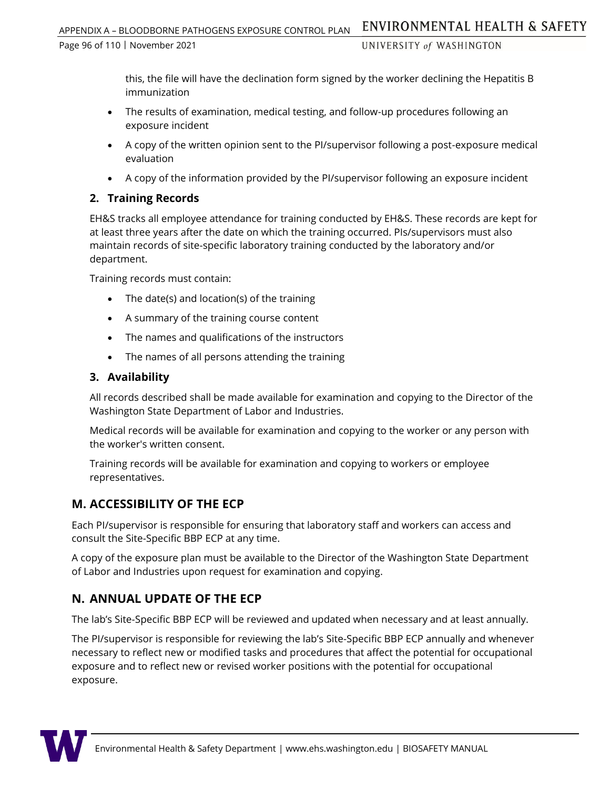this, the file will have the declination form signed by the worker declining the Hepatitis B immunization

- The results of examination, medical testing, and follow-up procedures following an exposure incident
- A copy of the written opinion sent to the PI/supervisor following a post-exposure medical evaluation
- A copy of the information provided by the PI/supervisor following an exposure incident

### **2. Training Records**

EH&S tracks all employee attendance for training conducted by EH&S. These records are kept for at least three years after the date on which the training occurred. PIs/supervisors must also maintain records of site-specific laboratory training conducted by the laboratory and/or department.

Training records must contain:

- The date(s) and location(s) of the training
- A summary of the training course content
- The names and qualifications of the instructors
- The names of all persons attending the training

### **3. Availability**

All records described shall be made available for examination and copying to the Director of the Washington State Department of Labor and Industries.

Medical records will be available for examination and copying to the worker or any person with the worker's written consent.

Training records will be available for examination and copying to workers or employee representatives.

### **M. ACCESSIBILITY OF THE ECP**

Each PI/supervisor is responsible for ensuring that laboratory staff and workers can access and consult the Site-Specific BBP ECP at any time.

A copy of the exposure plan must be available to the Director of the Washington State Department of Labor and Industries upon request for examination and copying.

# **N. ANNUAL UPDATE OF THE ECP**

The lab's Site-Specific BBP ECP will be reviewed and updated when necessary and at least annually.

The PI/supervisor is responsible for reviewing the lab's Site-Specific BBP ECP annually and whenever necessary to reflect new or modified tasks and procedures that affect the potential for occupational exposure and to reflect new or revised worker positions with the potential for occupational exposure.

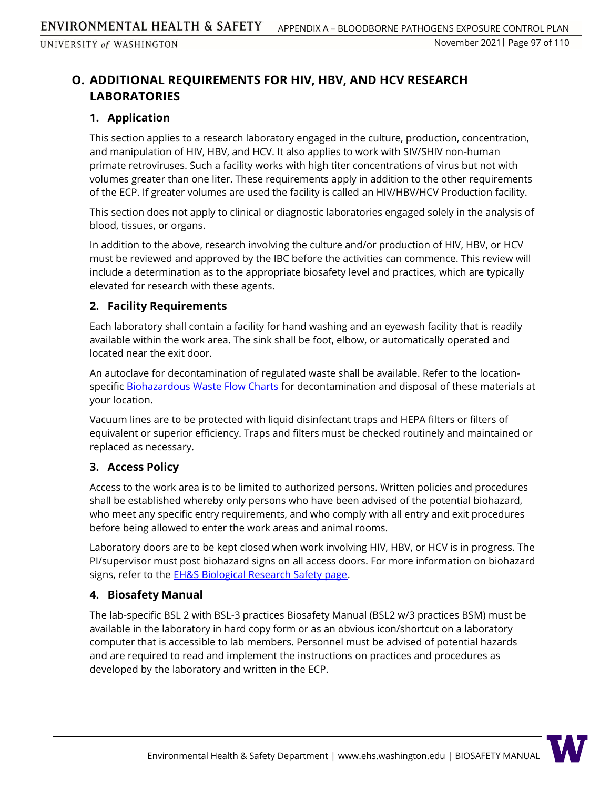# **O. ADDITIONAL REQUIREMENTS FOR HIV, HBV, AND HCV RESEARCH LABORATORIES**

### **1. Application**

This section applies to a research laboratory engaged in the culture, production, concentration, and manipulation of HIV, HBV, and HCV. It also applies to work with SIV/SHIV non-human primate retroviruses. Such a facility works with high titer concentrations of virus but not with volumes greater than one liter. These requirements apply in addition to the other requirements of the ECP. If greater volumes are used the facility is called an HIV/HBV/HCV Production facility.

This section does not apply to clinical or diagnostic laboratories engaged solely in the analysis of blood, tissues, or organs.

In addition to the above, research involving the culture and/or production of HIV, HBV, or HCV must be reviewed and approved by the IBC before the activities can commence. This review will include a determination as to the appropriate biosafety level and practices, which are typically elevated for research with these agents.

### **2. Facility Requirements**

Each laboratory shall contain a facility for hand washing and an eyewash facility that is readily available within the work area. The sink shall be foot, elbow, or automatically operated and located near the exit door.

An autoclave for decontamination of regulated waste shall be available. Refer to the location-specific [Biohazardous Waste Flow Charts](https://www.ehs.washington.edu/biological/biohazardous-waste/biohazardous-waste-flow-charts) for decontamination and disposal of these materials at your location.

Vacuum lines are to be protected with liquid disinfectant traps and HEPA filters or filters of equivalent or superior efficiency. Traps and filters must be checked routinely and maintained or replaced as necessary.

### **3. Access Policy**

Access to the work area is to be limited to authorized persons. Written policies and procedures shall be established whereby only persons who have been advised of the potential biohazard, who meet any specific entry requirements, and who comply with all entry and exit procedures before being allowed to enter the work areas and animal rooms.

Laboratory doors are to be kept closed when work involving HIV, HBV, or HCV is in progress. The PI/supervisor must post biohazard signs on all access doors. For more information on biohazard signs, refer to the **EH&S Biological Research Safety page**.

### **4. Biosafety Manual**

The lab-specific BSL 2 with BSL-3 practices Biosafety Manual (BSL2 w/3 practices BSM) must be available in the laboratory in hard copy form or as an obvious icon/shortcut on a laboratory computer that is accessible to lab members. Personnel must be advised of potential hazards and are required to read and implement the instructions on practices and procedures as developed by the laboratory and written in the ECP.

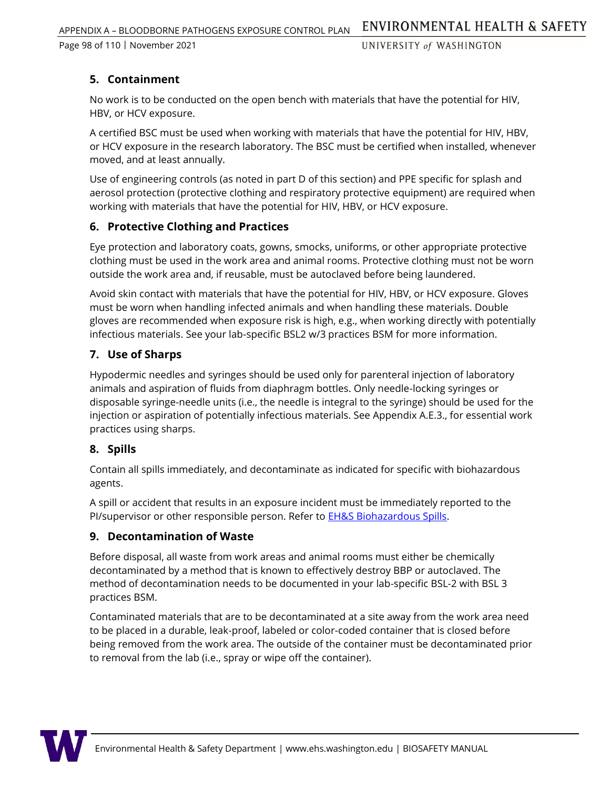# **5. Containment**

No work is to be conducted on the open bench with materials that have the potential for HIV, HBV, or HCV exposure.

A certified BSC must be used when working with materials that have the potential for HIV, HBV, or HCV exposure in the research laboratory. The BSC must be certified when installed, whenever moved, and at least annually.

Use of engineering controls (as noted in part D of this section) and PPE specific for splash and aerosol protection (protective clothing and respiratory protective equipment) are required when working with materials that have the potential for HIV, HBV, or HCV exposure.

### **6. Protective Clothing and Practices**

Eye protection and laboratory coats, gowns, smocks, uniforms, or other appropriate protective clothing must be used in the work area and animal rooms. Protective clothing must not be worn outside the work area and, if reusable, must be autoclaved before being laundered.

Avoid skin contact with materials that have the potential for HIV, HBV, or HCV exposure. Gloves must be worn when handling infected animals and when handling these materials. Double gloves are recommended when exposure risk is high, e.g., when working directly with potentially infectious materials. See your lab-specific BSL2 w/3 practices BSM for more information.

# **7. Use of Sharps**

Hypodermic needles and syringes should be used only for parenteral injection of laboratory animals and aspiration of fluids from diaphragm bottles. Only needle-locking syringes or disposable syringe-needle units (i.e., the needle is integral to the syringe) should be used for the injection or aspiration of potentially infectious materials. See Appendix A.E.3., for essential work practices using sharps.

### **8. Spills**

Contain all spills immediately, and decontaminate as indicated for specific with biohazardous agents.

A spill or accident that results in an exposure incident must be immediately reported to the PI/supervisor or other responsible person. Refer to **EH&S Biohazardous Spills**.

### **9. Decontamination of Waste**

Before disposal, all waste from work areas and animal rooms must either be chemically decontaminated by a method that is known to effectively destroy BBP or autoclaved. The method of decontamination needs to be documented in your lab-specific BSL-2 with BSL 3 practices BSM.

Contaminated materials that are to be decontaminated at a site away from the work area need to be placed in a durable, leak-proof, labeled or color-coded container that is closed before being removed from the work area. The outside of the container must be decontaminated prior to removal from the lab (i.e., spray or wipe off the container).